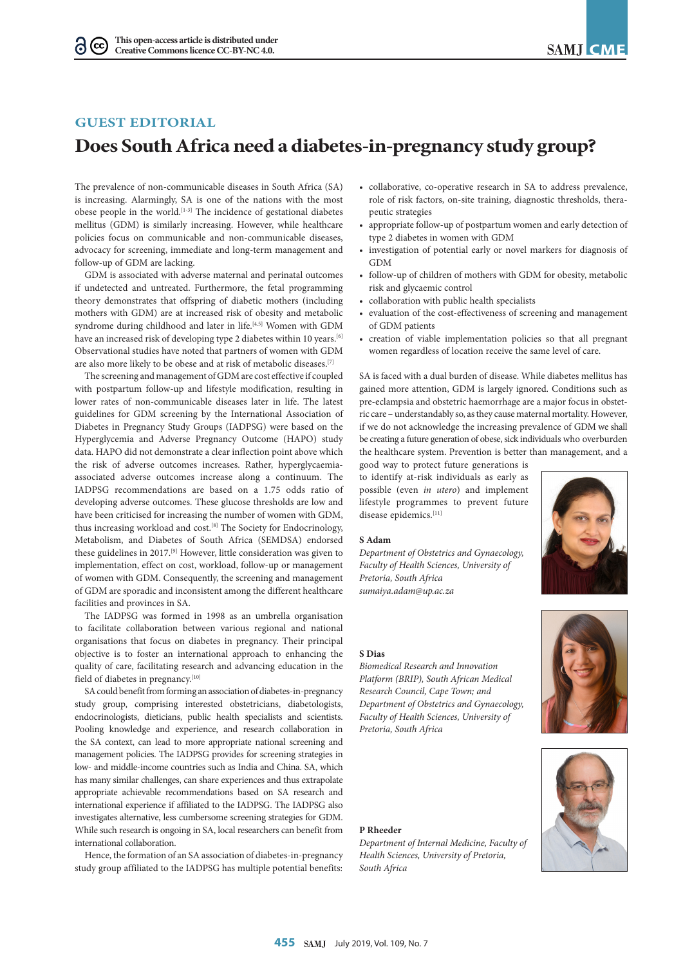# **GUEST EDITORIAL**

# **Does South Africa need a diabetes-in-pregnancy study group?**

The prevalence of non-communicable diseases in South Africa (SA) is increasing. Alarmingly, SA is one of the nations with the most obese people in the world.<sup>[1-3]</sup> The incidence of gestational diabetes mellitus (GDM) is similarly increasing. However, while healthcare policies focus on communicable and non-communicable diseases, advocacy for screening, immediate and long-term management and follow-up of GDM are lacking.

GDM is associated with adverse maternal and perinatal outcomes if undetected and untreated. Furthermore, the fetal programming theory demonstrates that offspring of diabetic mothers (including mothers with GDM) are at increased risk of obesity and metabolic syndrome during childhood and later in life.<sup>[4,5]</sup> Women with GDM have an increased risk of developing type 2 diabetes within 10 years.<sup>[6]</sup> Observational studies have noted that partners of women with GDM are also more likely to be obese and at risk of metabolic diseases.[7]

The screening and management of GDM are cost effective if coupled with postpartum follow-up and lifestyle modification, resulting in lower rates of non-communicable diseases later in life. The latest guidelines for GDM screening by the International Association of Diabetes in Pregnancy Study Groups (IADPSG) were based on the Hyperglycemia and Adverse Pregnancy Outcome (HAPO) study data. HAPO did not demonstrate a clear inflection point above which the risk of adverse outcomes increases. Rather, hyperglycaemiaassociated adverse outcomes increase along a continuum. The IADPSG recommendations are based on a 1.75 odds ratio of developing adverse outcomes. These glucose thresholds are low and have been criticised for increasing the number of women with GDM, thus increasing workload and cost.<sup>[8]</sup> The Society for Endocrinology, Metabolism, and Diabetes of South Africa (SEMDSA) endorsed these guidelines in 2017.<sup>[9]</sup> However, little consideration was given to implementation, effect on cost, workload, follow-up or management of women with GDM. Consequently, the screening and management of GDM are sporadic and inconsistent among the different healthcare facilities and provinces in SA.

The IADPSG was formed in 1998 as an umbrella organisation to facilitate collaboration between various regional and national organisations that focus on diabetes in pregnancy. Their principal objective is to foster an international approach to enhancing the quality of care, facilitating research and advancing education in the field of diabetes in pregnancy.<sup>[10]</sup>

SA could benefit from forming an association of diabetes-in-pregnancy study group, comprising interested obstetricians, diabetologists, endocrinologists, dieticians, public health specialists and scientists. Pooling knowledge and experience, and research collaboration in the SA context, can lead to more appropriate national screening and management policies. The IADPSG provides for screening strategies in low- and middle-income countries such as India and China. SA, which has many similar challenges, can share experiences and thus extrapolate appropriate achievable recommendations based on SA research and international experience if affiliated to the IADPSG. The IADPSG also investigates alternative, less cumbersome screening strategies for GDM. While such research is ongoing in SA, local researchers can benefit from international collaboration.

Hence, the formation of an SA association of diabetes-in-pregnancy study group affiliated to the IADPSG has multiple potential benefits:

- collaborative, co-operative research in SA to address prevalence, role of risk factors, on-site training, diagnostic thresholds, therapeutic strategies
- appropriate follow-up of postpartum women and early detection of type 2 diabetes in women with GDM
- investigation of potential early or novel markers for diagnosis of GDM
- follow-up of children of mothers with GDM for obesity, metabolic risk and glycaemic control
- collaboration with public health specialists
- evaluation of the cost-effectiveness of screening and management of GDM patients
- creation of viable implementation policies so that all pregnant women regardless of location receive the same level of care.

SA is faced with a dual burden of disease. While diabetes mellitus has gained more attention, GDM is largely ignored. Conditions such as pre-eclampsia and obstetric haemorrhage are a major focus in obstetric care – understandably so, as they cause maternal mortality. However, if we do not acknowledge the increasing prevalence of GDM we shall be creating a future generation of obese, sick individuals who overburden the healthcare system. Prevention is better than management, and a

good way to protect future generations is to identify at-risk individuals as early as possible (even *in utero*) and implement lifestyle programmes to prevent future disease epidemics.<sup>[11]</sup>

### **S Adam**

*Department of Obstetrics and Gynaecology, Faculty of Health Sciences, University of Pretoria, South Africa sumaiya.adam@up.ac.za*



# **S Dias**

*Biomedical Research and Innovation Platform (BRIP), South African Medical Research Council, Cape Town; and Department of Obstetrics and Gynaecology, Faculty of Health Sciences, University of Pretoria, South Africa*

### **P Rheeder**

*Department of Internal Medicine, Faculty of Health Sciences, University of Pretoria, South Africa*